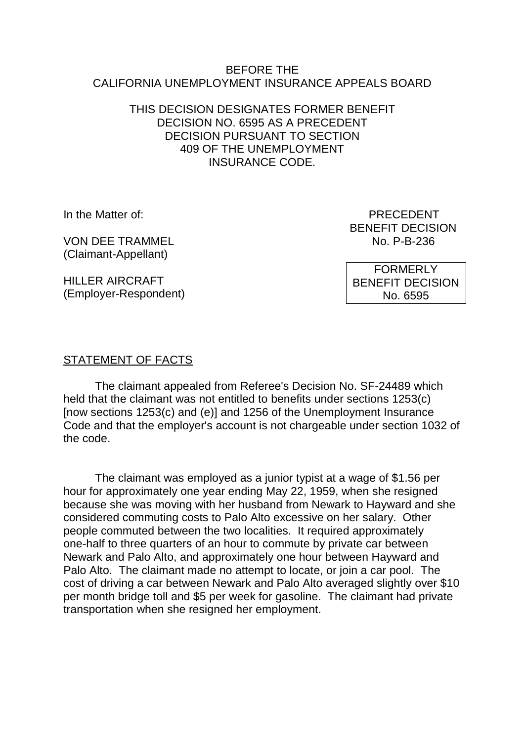#### BEFORE THE CALIFORNIA UNEMPLOYMENT INSURANCE APPEALS BOARD

### THIS DECISION DESIGNATES FORMER BENEFIT DECISION NO. 6595 AS A PRECEDENT DECISION PURSUANT TO SECTION 409 OF THE UNEMPLOYMENT INSURANCE CODE.

VON DEE TRAMMEI NO. P-B-236 (Claimant-Appellant)

HILLER AIRCRAFT (Employer-Respondent)

In the Matter of: PRECEDENT BENEFIT DECISION

> FORMERLY BENEFIT DECISION No. 6595

## STATEMENT OF FACTS

The claimant appealed from Referee's Decision No. SF-24489 which held that the claimant was not entitled to benefits under sections 1253(c) [now sections 1253(c) and (e)] and 1256 of the Unemployment Insurance Code and that the employer's account is not chargeable under section 1032 of the code.

The claimant was employed as a junior typist at a wage of \$1.56 per hour for approximately one year ending May 22, 1959, when she resigned because she was moving with her husband from Newark to Hayward and she considered commuting costs to Palo Alto excessive on her salary. Other people commuted between the two localities. It required approximately one-half to three quarters of an hour to commute by private car between Newark and Palo Alto, and approximately one hour between Hayward and Palo Alto. The claimant made no attempt to locate, or join a car pool. The cost of driving a car between Newark and Palo Alto averaged slightly over \$10 per month bridge toll and \$5 per week for gasoline. The claimant had private transportation when she resigned her employment.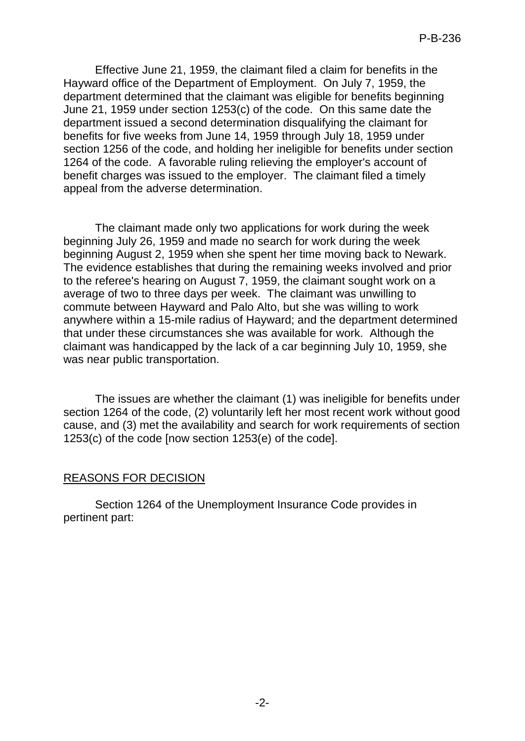Effective June 21, 1959, the claimant filed a claim for benefits in the Hayward office of the Department of Employment. On July 7, 1959, the department determined that the claimant was eligible for benefits beginning June 21, 1959 under section 1253(c) of the code. On this same date the department issued a second determination disqualifying the claimant for benefits for five weeks from June 14, 1959 through July 18, 1959 under section 1256 of the code, and holding her ineligible for benefits under section 1264 of the code. A favorable ruling relieving the employer's account of benefit charges was issued to the employer. The claimant filed a timely appeal from the adverse determination.

The claimant made only two applications for work during the week beginning July 26, 1959 and made no search for work during the week beginning August 2, 1959 when she spent her time moving back to Newark. The evidence establishes that during the remaining weeks involved and prior to the referee's hearing on August 7, 1959, the claimant sought work on a average of two to three days per week. The claimant was unwilling to commute between Hayward and Palo Alto, but she was willing to work anywhere within a 15-mile radius of Hayward; and the department determined that under these circumstances she was available for work. Although the claimant was handicapped by the lack of a car beginning July 10, 1959, she was near public transportation.

The issues are whether the claimant (1) was ineligible for benefits under section 1264 of the code, (2) voluntarily left her most recent work without good cause, and (3) met the availability and search for work requirements of section 1253(c) of the code [now section 1253(e) of the code].

#### REASONS FOR DECISION

Section 1264 of the Unemployment Insurance Code provides in pertinent part: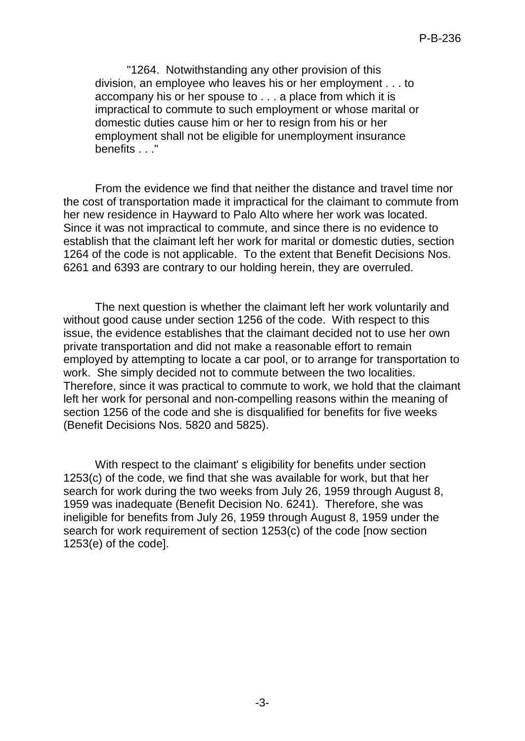"1264. Notwithstanding any other provision of this division, an employee who leaves his or her employment . . . to accompany his or her spouse to . . . a place from which it is impractical to commute to such employment or whose marital or domestic duties cause him or her to resign from his or her employment shall not be eligible for unemployment insurance benefits . . ."

From the evidence we find that neither the distance and travel time nor the cost of transportation made it impractical for the claimant to commute from her new residence in Hayward to Palo Alto where her work was located. Since it was not impractical to commute, and since there is no evidence to establish that the claimant left her work for marital or domestic duties, section 1264 of the code is not applicable. To the extent that Benefit Decisions Nos. 6261 and 6393 are contrary to our holding herein, they are overruled.

The next question is whether the claimant left her work voluntarily and without good cause under section 1256 of the code. With respect to this issue, the evidence establishes that the claimant decided not to use her own private transportation and did not make a reasonable effort to remain employed by attempting to locate a car pool, or to arrange for transportation to work. She simply decided not to commute between the two localities. Therefore, since it was practical to commute to work, we hold that the claimant left her work for personal and non-compelling reasons within the meaning of section 1256 of the code and she is disqualified for benefits for five weeks (Benefit Decisions Nos. 5820 and 5825).

With respect to the claimant's eligibility for benefits under section 1253(c) of the code, we find that she was available for work, but that her search for work during the two weeks from July 26, 1959 through August 8, 1959 was inadequate (Benefit Decision No. 6241). Therefore, she was ineligible for benefits from July 26, 1959 through August 8, 1959 under the search for work requirement of section 1253(c) of the code [now section 1253(e) of the code].